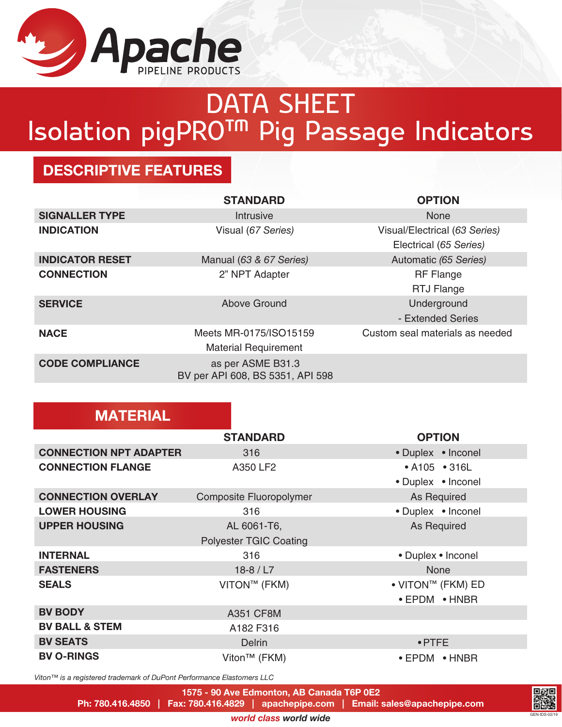

## DATA SHEET Isolation pigPRO™ Pig Passage Indicators

## DESCRIPTIVE FEATURES

**MATERIAL** 

|                        | <b>STANDARD</b>                                       | <b>OPTION</b>                   |
|------------------------|-------------------------------------------------------|---------------------------------|
| <b>SIGNALLER TYPE</b>  | Intrusive                                             | <b>None</b>                     |
| <b>INDICATION</b>      | Visual (67 Series)                                    | Visual/Electrical (63 Series)   |
|                        |                                                       | Electrical (65 Series)          |
| <b>INDICATOR RESET</b> | Manual (63 & 67 Series)                               | Automatic (65 Series)           |
| <b>CONNECTION</b>      | 2" NPT Adapter                                        | <b>RF Flange</b>                |
|                        |                                                       | <b>RTJ Flange</b>               |
| <b>SERVICE</b>         | Above Ground                                          | Underground                     |
|                        |                                                       | - Extended Series               |
| <b>NACE</b>            | Meets MR-0175/ISO15159                                | Custom seal materials as needed |
|                        | <b>Material Requirement</b>                           |                                 |
| <b>CODE COMPLIANCE</b> | as per ASME B31.3<br>BV per API 608, BS 5351, API 598 |                                 |

|                               | <b>STANDARD</b>                | <b>OPTION</b>                 |
|-------------------------------|--------------------------------|-------------------------------|
| <b>CONNECTION NPT ADAPTER</b> | 316                            | • Duplex • Inconel            |
| <b>CONNECTION FLANGE</b>      | A350 LF2                       | • A105 • 316L                 |
|                               |                                | • Duplex • Inconel            |
| <b>CONNECTION OVERLAY</b>     | <b>Composite Fluoropolymer</b> | <b>As Required</b>            |
| <b>LOWER HOUSING</b>          | 316                            | • Duplex • Inconel            |
| <b>UPPER HOUSING</b>          | AL 6061-T6,                    | As Required                   |
|                               | <b>Polyester TGIC Coating</b>  |                               |
| <b>INTERNAL</b>               | 316                            | • Duplex • Inconel            |
| <b>FASTENERS</b>              | $18-8 / L7$                    | None                          |
| <b>SEALS</b>                  | VITON™ (FKM)                   | • VITON™ (FKM) ED             |
|                               |                                | • EPDM • HNBR                 |
| <b>BV BODY</b>                | <b>A351 CF8M</b>               |                               |
| <b>BV BALL &amp; STEM</b>     | A182 F316                      |                               |
| <b>BV SEATS</b>               | <b>Delrin</b>                  | $\bullet$ PTFE                |
| <b>BV O-RINGS</b>             | Viton <sup>™</sup> (FKM)       | $\bullet$ EPDM $\bullet$ HNBR |

*Viton™ is a registered trademark of DuPont Performance Elastomers LLC*

1575 - 90 Ave Edmonton, AB Canada T6P 0E2

Ph: 780.416.4850 | Fax: 780.416.4829 | apachepipe.com | Email: sales@apachepipe.com

GEN-IDS-02/19

*world class world wide*